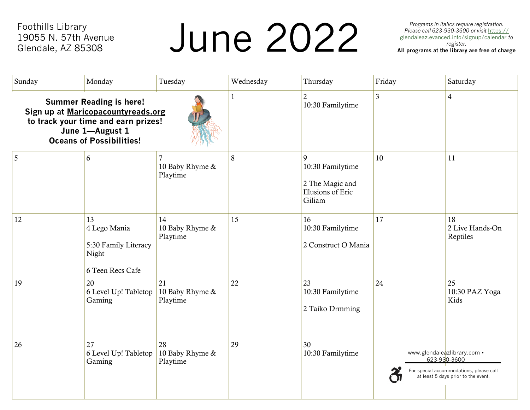Foothills Library 19055 N. 57th Avenue Glendale, AZ 85308

# *Programs in italics require registration.*<br> *Please call 623-930-3600 or visit https://*<br>
<u>glendaleaz.evanced.info/signup/calendar</u> to<br>
register.<br> **All programs at the library are free of charge**

*Programs in italics require registration. Please call 623-930-3600 or visit* [https://](http://https/glendaleaz.evanced.info/signup/calendar) [glendaleaz.evanced.info/signup/calendar](http://https/glendaleaz.evanced.info/signup/calendar) *to* 

| Sunday | Monday                                                                                                                                                            | Tuesday                           | Wednesday   | Thursday                                                                | Friday         | Saturday                                                                                                                      |
|--------|-------------------------------------------------------------------------------------------------------------------------------------------------------------------|-----------------------------------|-------------|-------------------------------------------------------------------------|----------------|-------------------------------------------------------------------------------------------------------------------------------|
|        | <b>Summer Reading is here!</b><br>Sign up at Maricopacountyreads.org<br>to track your time and earn prizes!<br>June 1-August 1<br><b>Oceans of Possibilities!</b> |                                   | $\mathbf 1$ | $\overline{2}$<br>10:30 Familytime                                      | $\mathfrak{Z}$ | $\overline{4}$                                                                                                                |
| 5      | 6                                                                                                                                                                 | 10 Baby Rhyme &<br>Playtime       | 8           | 9<br>10:30 Familytime<br>2 The Magic and<br>Illusions of Eric<br>Giliam | 10             | 11                                                                                                                            |
| 12     | 13<br>4 Lego Mania<br>5:30 Family Literacy<br>Night<br>6 Teen Recs Cafe                                                                                           | 14<br>10 Baby Rhyme &<br>Playtime | 15          | 16<br>10:30 Familytime<br>2 Construct O Mania                           | 17             | 18<br>2 Live Hands-On<br>Reptiles                                                                                             |
| 19     | 20<br>6 Level Up! Tabletop<br>Gaming                                                                                                                              | 21<br>10 Baby Rhyme &<br>Playtime | 22          | 23<br>10:30 Familytime<br>2 Taiko Drmming                               | 24             | 25<br>10:30 PAZ Yoga<br>Kids                                                                                                  |
| 26     | 27<br>6 Level Up! Tabletop<br>Gaming                                                                                                                              | 28<br>10 Baby Rhyme &<br>Playtime | 29          | 30<br>10:30 Familytime                                                  |                | www.glendaleazlibrary.com •<br>623-930-3600<br>For special accommodations, please call<br>at least 5 days prior to the event. |